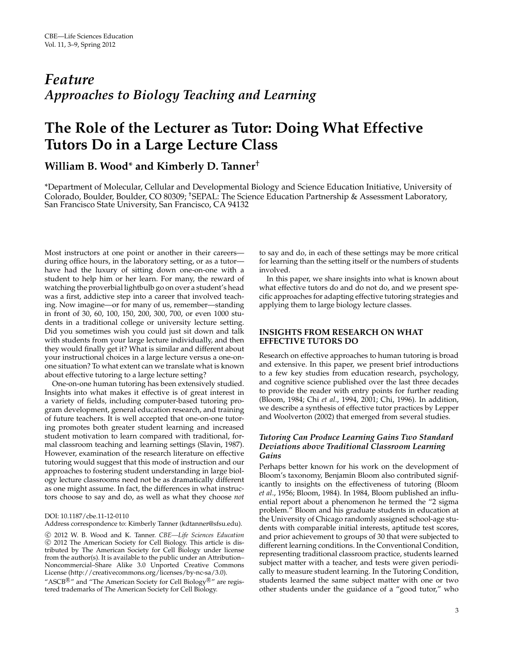# *Feature Approaches to Biology Teaching and Learning*

# **The Role of the Lecturer as Tutor: Doing What Effective Tutors Do in a Large Lecture Class**

# **William B. Wood**\* **and Kimberly D. Tanner**†

\*Department of Molecular, Cellular and Developmental Biology and Science Education Initiative, University of Colorado, Boulder, Boulder, CO 80309; †SEPAL: The Science Education Partnership & Assessment Laboratory, San Francisco State University, San Francisco, CA 94132

Most instructors at one point or another in their careers during office hours, in the laboratory setting, or as a tutor have had the luxury of sitting down one-on-one with a student to help him or her learn. For many, the reward of watching the proverbial lightbulb go on over a student's head was a first, addictive step into a career that involved teaching. Now imagine—or for many of us, remember—standing in front of 30, 60, 100, 150, 200, 300, 700, or even 1000 students in a traditional college or university lecture setting. Did you sometimes wish you could just sit down and talk with students from your large lecture individually, and then they would finally get it? What is similar and different about your instructional choices in a large lecture versus a one-onone situation? To what extent can we translate what is known about effective tutoring to a large lecture setting?

One-on-one human tutoring has been extensively studied. Insights into what makes it effective is of great interest in a variety of fields, including computer-based tutoring program development, general education research, and training of future teachers. It is well accepted that one-on-one tutoring promotes both greater student learning and increased student motivation to learn compared with traditional, formal classroom teaching and learning settings (Slavin, 1987). However, examination of the research literature on effective tutoring would suggest that this mode of instruction and our approaches to fostering student understanding in large biology lecture classrooms need not be as dramatically different as one might assume. In fact, the differences in what instructors choose to say and do, as well as what they choose *not*

Address correspondence to: Kimberly Tanner (kdtanner@sfsu.edu).

-c 2012 W. B. Wood and K. Tanner. *CBE—Life Sciences Education* -c 2012 The American Society for Cell Biology. This article is distributed by The American Society for Cell Biology under license from the author(s). It is available to the public under an Attribution– Noncommercial–Share Alike 3.0 Unported Creative Commons License (http://creativecommons.org/licenses/by-nc-sa/3.0).

"ASCB<sup>®</sup>" and "The American Society for Cell Biology<sup>®</sup>" are registered trademarks of The American Society for Cell Biology.

to say and do, in each of these settings may be more critical for learning than the setting itself or the numbers of students involved.

In this paper, we share insights into what is known about what effective tutors do and do not do, and we present specific approaches for adapting effective tutoring strategies and applying them to large biology lecture classes.

#### **INSIGHTS FROM RESEARCH ON WHAT EFFECTIVE TUTORS DO**

Research on effective approaches to human tutoring is broad and extensive. In this paper, we present brief introductions to a few key studies from education research, psychology, and cognitive science published over the last three decades to provide the reader with entry points for further reading (Bloom, 1984; Chi *et al*., 1994, 2001; Chi, 1996). In addition, we describe a synthesis of effective tutor practices by Lepper and Woolverton (2002) that emerged from several studies.

## *Tutoring Can Produce Learning Gains Two Standard Deviations above Traditional Classroom Learning Gains*

Perhaps better known for his work on the development of Bloom's taxonomy, Benjamin Bloom also contributed significantly to insights on the effectiveness of tutoring (Bloom *et al*., 1956; Bloom, 1984). In 1984, Bloom published an influential report about a phenomenon he termed the "2 sigma problem." Bloom and his graduate students in education at the University of Chicago randomly assigned school-age students with comparable initial interests, aptitude test scores, and prior achievement to groups of 30 that were subjected to different learning conditions. In the Conventional Condition, representing traditional classroom practice, students learned subject matter with a teacher, and tests were given periodically to measure student learning. In the Tutoring Condition, students learned the same subject matter with one or two other students under the guidance of a "good tutor," who

DOI: 10.1187/cbe.11-12-0110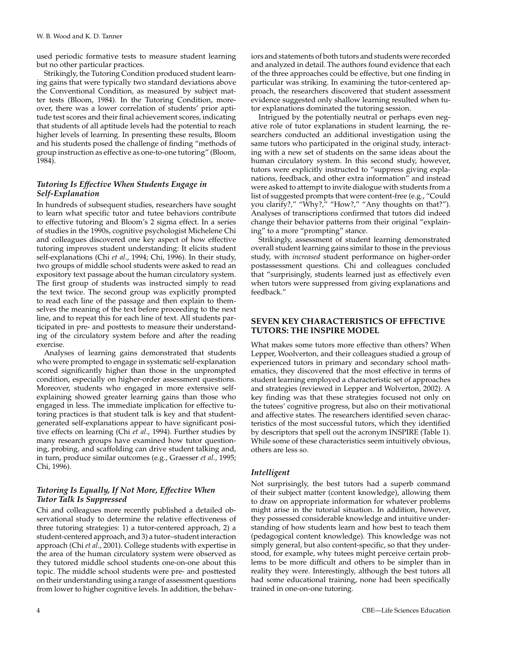used periodic formative tests to measure student learning but no other particular practices.

Strikingly, the Tutoring Condition produced student learning gains that were typically two standard deviations above the Conventional Condition, as measured by subject matter tests (Bloom, 1984). In the Tutoring Condition, moreover, there was a lower correlation of students' prior aptitude test scores and their final achievement scores, indicating that students of all aptitude levels had the potential to reach higher levels of learning. In presenting these results, Bloom and his students posed the challenge of finding "methods of group instruction as effective as one-to-one tutoring" (Bloom, 1984).

# *Tutoring Is Effective When Students Engage in Self-Explanation*

In hundreds of subsequent studies, researchers have sought to learn what specific tutor and tutee behaviors contribute to effective tutoring and Bloom's 2 sigma effect. In a series of studies in the 1990s, cognitive psychologist Michelene Chi and colleagues discovered one key aspect of how effective tutoring improves student understanding: It elicits student self-explanations (Chi *et al*., 1994; Chi, 1996). In their study, two groups of middle school students were asked to read an expository text passage about the human circulatory system. The first group of students was instructed simply to read the text twice. The second group was explicitly prompted to read each line of the passage and then explain to themselves the meaning of the text before proceeding to the next line, and to repeat this for each line of text. All students participated in pre- and posttests to measure their understanding of the circulatory system before and after the reading exercise.

Analyses of learning gains demonstrated that students who were prompted to engage in systematic self-explanation scored significantly higher than those in the unprompted condition, especially on higher-order assessment questions. Moreover, students who engaged in more extensive selfexplaining showed greater learning gains than those who engaged in less. The immediate implication for effective tutoring practices is that student talk is key and that studentgenerated self-explanations appear to have significant positive effects on learning (Chi *et al*., 1994). Further studies by many research groups have examined how tutor questioning, probing, and scaffolding can drive student talking and, in turn, produce similar outcomes (e.g., Graesser *et al.*, 1995; Chi, 1996).

# *Tutoring Is Equally, If Not More, Effective When Tutor Talk Is Suppressed*

Chi and colleagues more recently published a detailed observational study to determine the relative effectiveness of three tutoring strategies: 1) a tutor-centered approach, 2) a student-centered approach, and 3) a tutor–student interaction approach (Chi *et al*., 2001). College students with expertise in the area of the human circulatory system were observed as they tutored middle school students one-on-one about this topic. The middle school students were pre- and posttested on their understanding using a range of assessment questions from lower to higher cognitive levels. In addition, the behaviors and statements of both tutors and students were recorded and analyzed in detail. The authors found evidence that each of the three approaches could be effective, but one finding in particular was striking. In examining the tutor-centered approach, the researchers discovered that student assessment evidence suggested only shallow learning resulted when tutor explanations dominated the tutoring session.

Intrigued by the potentially neutral or perhaps even negative role of tutor explanations in student learning, the researchers conducted an additional investigation using the same tutors who participated in the original study, interacting with a new set of students on the same ideas about the human circulatory system. In this second study, however, tutors were explicitly instructed to "suppress giving explanations, feedback, and other extra information" and instead were asked to attempt to invite dialogue with students from a list of suggested prompts that were content-free (e.g., "Could you clarify?," "Why?," "How?," "Any thoughts on that?"). Analyses of transcriptions confirmed that tutors did indeed change their behavior patterns from their original "explaining" to a more "prompting" stance.

Strikingly, assessment of student learning demonstrated overall student learning gains similar to those in the previous study, with *increased* student performance on higher-order postassessment questions. Chi and colleagues concluded that "surprisingly, students learned just as effectively even when tutors were suppressed from giving explanations and feedback."

## **SEVEN KEY CHARACTERISTICS OF EFFECTIVE TUTORS: THE INSPIRE MODEL**

What makes some tutors more effective than others? When Lepper, Woolverton, and their colleagues studied a group of experienced tutors in primary and secondary school mathematics, they discovered that the most effective in terms of student learning employed a characteristic set of approaches and strategies (reviewed in Lepper and Wolverton, 2002). A key finding was that these strategies focused not only on the tutees' cognitive progress, but also on their motivational and affective states. The researchers identified seven characteristics of the most successful tutors, which they identified by descriptors that spell out the acronym INSPIRE (Table 1). While some of these characteristics seem intuitively obvious, others are less so.

## *Intelligent*

Not surprisingly, the best tutors had a superb command of their subject matter (content knowledge), allowing them to draw on appropriate information for whatever problems might arise in the tutorial situation. In addition, however, they possessed considerable knowledge and intuitive understanding of how students learn and how best to teach them (pedagogical content knowledge). This knowledge was not simply general, but also content-specific, so that they understood, for example, why tutees might perceive certain problems to be more difficult and others to be simpler than in reality they were. Interestingly, although the best tutors all had some educational training, none had been specifically trained in one-on-one tutoring.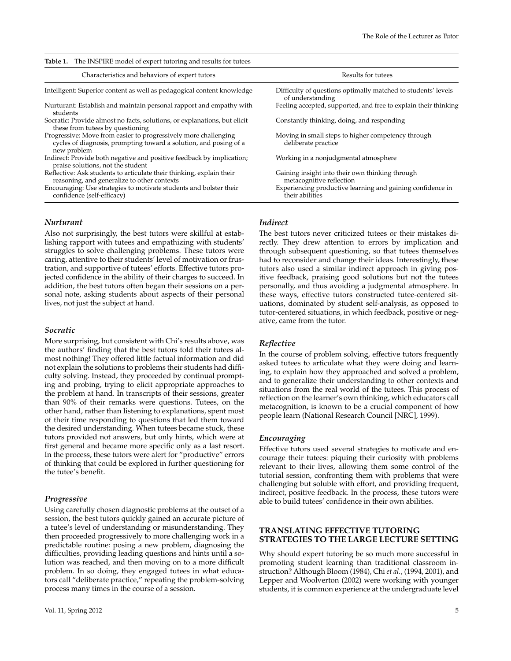| Table 1. The INSPIRE model of expert tutoring and results for tutees                                                                                |                                                                                   |
|-----------------------------------------------------------------------------------------------------------------------------------------------------|-----------------------------------------------------------------------------------|
| Characteristics and behaviors of expert tutors                                                                                                      | Results for tutees                                                                |
| Intelligent: Superior content as well as pedagogical content knowledge                                                                              | Difficulty of questions optimally matched to students' levels<br>of understanding |
| Nurturant: Establish and maintain personal rapport and empathy with<br>students                                                                     | Feeling accepted, supported, and free to explain their thinking                   |
| Socratic: Provide almost no facts, solutions, or explanations, but elicit<br>these from tutees by questioning                                       | Constantly thinking, doing, and responding                                        |
| Progressive: Move from easier to progressively more challenging<br>cycles of diagnosis, prompting toward a solution, and posing of a<br>new problem | Moving in small steps to higher competency through<br>deliberate practice         |
| Indirect: Provide both negative and positive feedback by implication;<br>praise solutions, not the student                                          | Working in a nonjudgmental atmosphere                                             |
| Reflective: Ask students to articulate their thinking, explain their<br>reasoning, and generalize to other contexts                                 | Gaining insight into their own thinking through<br>metacognitive reflection       |
| Encouraging: Use strategies to motivate students and bolster their<br>confidence (self-efficacy)                                                    | Experiencing productive learning and gaining confidence in<br>their abilities     |

#### *Nurturant*

Also not surprisingly, the best tutors were skillful at establishing rapport with tutees and empathizing with students' struggles to solve challenging problems. These tutors were caring, attentive to their students' level of motivation or frustration, and supportive of tutees' efforts. Effective tutors projected confidence in the ability of their charges to succeed. In addition, the best tutors often began their sessions on a personal note, asking students about aspects of their personal lives, not just the subject at hand.

#### *Socratic*

More surprising, but consistent with Chi's results above, was the authors' finding that the best tutors told their tutees almost nothing! They offered little factual information and did not explain the solutions to problems their students had difficulty solving. Instead, they proceeded by continual prompting and probing, trying to elicit appropriate approaches to the problem at hand. In transcripts of their sessions, greater than 90% of their remarks were questions. Tutees, on the other hand, rather than listening to explanations, spent most of their time responding to questions that led them toward the desired understanding. When tutees became stuck, these tutors provided not answers, but only hints, which were at first general and became more specific only as a last resort. In the process, these tutors were alert for "productive" errors of thinking that could be explored in further questioning for the tutee's benefit.

#### *Progressive*

Using carefully chosen diagnostic problems at the outset of a session, the best tutors quickly gained an accurate picture of a tutee's level of understanding or misunderstanding. They then proceeded progressively to more challenging work in a predictable routine: posing a new problem, diagnosing the difficulties, providing leading questions and hints until a solution was reached, and then moving on to a more difficult problem. In so doing, they engaged tutees in what educators call "deliberate practice," repeating the problem-solving process many times in the course of a session.

#### *Indirect*

The best tutors never criticized tutees or their mistakes directly. They drew attention to errors by implication and through subsequent questioning, so that tutees themselves had to reconsider and change their ideas. Interestingly, these tutors also used a similar indirect approach in giving positive feedback, praising good solutions but not the tutees personally, and thus avoiding a judgmental atmosphere. In these ways, effective tutors constructed tutee-centered situations, dominated by student self-analysis, as opposed to tutor-centered situations, in which feedback, positive or negative, came from the tutor.

#### *Reflective*

In the course of problem solving, effective tutors frequently asked tutees to articulate what they were doing and learning, to explain how they approached and solved a problem, and to generalize their understanding to other contexts and situations from the real world of the tutees. This process of reflection on the learner's own thinking, which educators call metacognition, is known to be a crucial component of how people learn (National Research Council [NRC], 1999).

#### *Encouraging*

Effective tutors used several strategies to motivate and encourage their tutees: piquing their curiosity with problems relevant to their lives, allowing them some control of the tutorial session, confronting them with problems that were challenging but soluble with effort, and providing frequent, indirect, positive feedback. In the process, these tutors were able to build tutees' confidence in their own abilities.

#### **TRANSLATING EFFECTIVE TUTORING STRATEGIES TO THE LARGE LECTURE SETTING**

Why should expert tutoring be so much more successful in promoting student learning than traditional classroom instruction? Although Bloom (1984), Chi *et al.*, (1994, 2001), and Lepper and Woolverton (2002) were working with younger students, it is common experience at the undergraduate level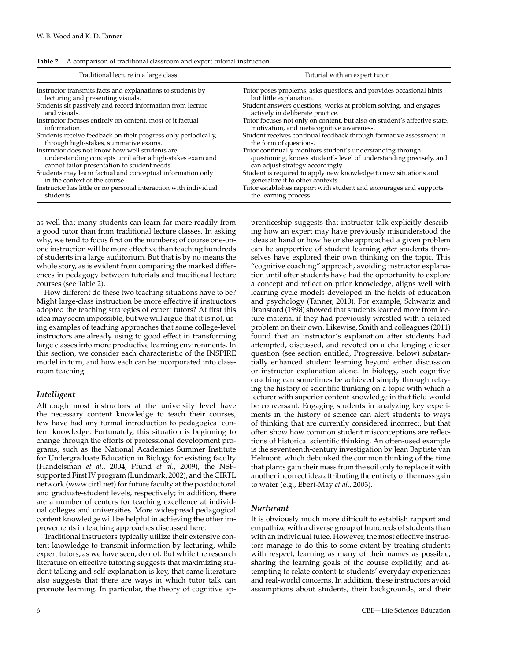| Traditional lecture in a large class                             | Tutorial with an expert tutor                                             |
|------------------------------------------------------------------|---------------------------------------------------------------------------|
| Instructor transmits facts and explanations to students by       | Tutor poses problems, asks questions, and provides occasional hints       |
| lecturing and presenting visuals.                                | but little explanation.                                                   |
| Students sit passively and record information from lecture       | Student answers questions, works at problem solving, and engages          |
| and visuals.                                                     | actively in deliberate practice.                                          |
| Instructor focuses entirely on content, most of it factual       | Tutor focuses not only on content, but also on student's affective state, |
| information.                                                     | motivation, and metacognitive awareness.                                  |
| Students receive feedback on their progress only periodically,   | Student receives continual feedback through formative assessment in       |
| through high-stakes, summative exams.                            | the form of questions.                                                    |
| Instructor does not know how well students are                   | Tutor continually monitors student's understanding through                |
| understanding concepts until after a high-stakes exam and        | questioning, knows student's level of understanding precisely, and        |
| cannot tailor presentation to student needs.                     | can adjust strategy accordingly                                           |
| Students may learn factual and conceptual information only       | Student is required to apply new knowledge to new situations and          |
| in the context of the course.                                    | generalize it to other contexts.                                          |
| Instructor has little or no personal interaction with individual | Tutor establishes rapport with student and encourages and supports        |
| students.                                                        | the learning process.                                                     |

**Table 2.** A comparison of traditional classroom and expert tutorial instruction

as well that many students can learn far more readily from a good tutor than from traditional lecture classes. In asking why, we tend to focus first on the numbers; of course one-onone instruction will be more effective than teaching hundreds of students in a large auditorium. But that is by no means the whole story, as is evident from comparing the marked differences in pedagogy between tutorials and traditional lecture courses (see Table 2).

How different do these two teaching situations have to be? Might large-class instruction be more effective if instructors adopted the teaching strategies of expert tutors? At first this idea may seem impossible, but we will argue that it is not, using examples of teaching approaches that some college-level instructors are already using to good effect in transforming large classes into more productive learning environments. In this section, we consider each characteristic of the INSPIRE model in turn, and how each can be incorporated into classroom teaching.

#### *Intelligent*

Although most instructors at the university level have the necessary content knowledge to teach their courses, few have had any formal introduction to pedagogical content knowledge. Fortunately, this situation is beginning to change through the efforts of professional development programs, such as the National Academies Summer Institute for Undergraduate Education in Biology for existing faculty (Handelsman *et al.*, 2004; Pfund *et al.*, 2009), the NSFsupported First IV program (Lundmark, 2002), and the CIRTL network [\(www.cirtl.net\)](http://www.cirtl.net) for future faculty at the postdoctoral and graduate-student levels, respectively; in addition, there are a number of centers for teaching excellence at individual colleges and universities. More widespread pedagogical content knowledge will be helpful in achieving the other improvements in teaching approaches discussed here.

Traditional instructors typically utilize their extensive content knowledge to transmit information by lecturing, while expert tutors, as we have seen, do not. But while the research literature on effective tutoring suggests that maximizing student talking and self-explanation is key, that same literature also suggests that there are ways in which tutor talk can promote learning. In particular, the theory of cognitive ap-

prenticeship suggests that instructor talk explicitly describing how an expert may have previously misunderstood the ideas at hand or how he or she approached a given problem can be supportive of student learning *after* students themselves have explored their own thinking on the topic. This "cognitive coaching" approach, avoiding instructor explanation until after students have had the opportunity to explore a concept and reflect on prior knowledge, aligns well with learning-cycle models developed in the fields of education and psychology (Tanner, 2010). For example, Schwartz and Bransford (1998) showed that students learned more from lecture material if they had previously wrestled with a related problem on their own. Likewise, Smith and colleagues (2011) found that an instructor's explanation after students had attempted, discussed, and revoted on a challenging clicker question (see section entitled, Progressive, below) substantially enhanced student learning beyond either discussion or instructor explanation alone. In biology, such cognitive coaching can sometimes be achieved simply through relaying the history of scientific thinking on a topic with which a lecturer with superior content knowledge in that field would be conversant. Engaging students in analyzing key experiments in the history of science can alert students to ways of thinking that are currently considered incorrect, but that often show how common student misconceptions are reflections of historical scientific thinking. An often-used example is the seventeenth-century investigation by Jean Baptiste van Helmont, which debunked the common thinking of the time that plants gain their mass from the soil only to replace it with another incorrect idea attributing the entirety of the mass gain to water (e.g., Ebert-May *et al*., 2003).

#### *Nurturant*

It is obviously much more difficult to establish rapport and empathize with a diverse group of hundreds of students than with an individual tutee. However, the most effective instructors manage to do this to some extent by treating students with respect, learning as many of their names as possible, sharing the learning goals of the course explicitly, and attempting to relate content to students' everyday experiences and real-world concerns. In addition, these instructors avoid assumptions about students, their backgrounds, and their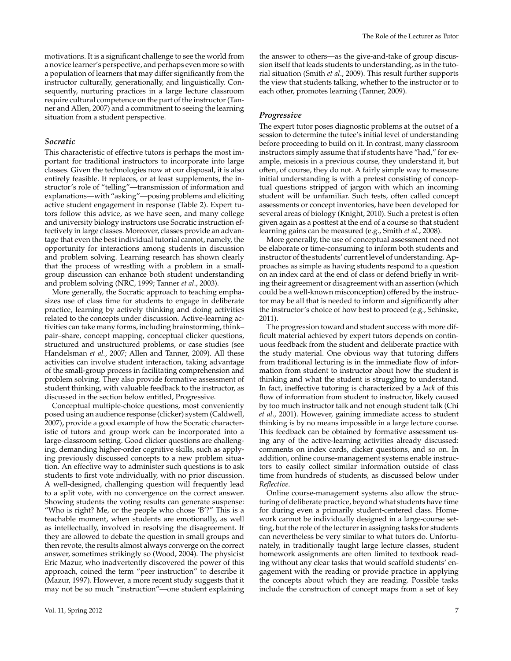motivations. It is a significant challenge to see the world from a novice learner's perspective, and perhaps even more so with a population of learners that may differ significantly from the instructor culturally, generationally, and linguistically. Consequently, nurturing practices in a large lecture classroom require cultural competence on the part of the instructor (Tanner and Allen, 2007) and a commitment to seeing the learning situation from a student perspective.

#### *Socratic*

This characteristic of effective tutors is perhaps the most important for traditional instructors to incorporate into large classes. Given the technologies now at our disposal, it is also entirely feasible. It replaces, or at least supplements, the instructor's role of "telling"—transmission of information and explanations—with "asking"—posing problems and eliciting active student engagement in response (Table 2). Expert tutors follow this advice, as we have seen, and many college and university biology instructors use Socratic instruction effectively in large classes. Moreover, classes provide an advantage that even the best individual tutorial cannot, namely, the opportunity for interactions among students in discussion and problem solving. Learning research has shown clearly that the process of wrestling with a problem in a smallgroup discussion can enhance both student understanding and problem solving (NRC, 1999; Tanner *et al*., 2003).

More generally, the Socratic approach to teaching emphasizes use of class time for students to engage in deliberate practice, learning by actively thinking and doing activities related to the concepts under discussion. Active-learning activities can take many forms, including brainstorming, think– pair–share, concept mapping, conceptual clicker questions, structured and unstructured problems, or case studies (see Handelsman *et al.*, 2007; Allen and Tanner, 2009). All these activities can involve student interaction, taking advantage of the small-group process in facilitating comprehension and problem solving. They also provide formative assessment of student thinking, with valuable feedback to the instructor, as discussed in the section below entitled, Progressive.

Conceptual multiple-choice questions, most conveniently posed using an audience response (clicker) system (Caldwell, 2007), provide a good example of how the Socratic characteristic of tutors and group work can be incorporated into a large-classroom setting. Good clicker questions are challenging, demanding higher-order cognitive skills, such as applying previously discussed concepts to a new problem situation. An effective way to administer such questions is to ask students to first vote individually, with no prior discussion. A well-designed, challenging question will frequently lead to a split vote, with no convergence on the correct answer. Showing students the voting results can generate suspense: "Who is right? Me, or the people who chose 'B'?" This is a teachable moment, when students are emotionally, as well as intellectually, involved in resolving the disagreement. If they are allowed to debate the question in small groups and then revote, the results almost always converge on the correct answer, sometimes strikingly so (Wood, 2004). The physicist Eric Mazur, who inadvertently discovered the power of this approach, coined the term "peer instruction" to describe it (Mazur, 1997). However, a more recent study suggests that it may not be so much "instruction"—one student explaining the answer to others—as the give-and-take of group discussion itself that leads students to understanding, as in the tutorial situation (Smith *et al*., 2009). This result further supports the view that students talking, whether to the instructor or to each other, promotes learning (Tanner, 2009).

#### *Progressive*

The expert tutor poses diagnostic problems at the outset of a session to determine the tutee's initial level of understanding before proceeding to build on it. In contrast, many classroom instructors simply assume that if students have "had," for example, meiosis in a previous course, they understand it, but often, of course, they do not. A fairly simple way to measure initial understanding is with a pretest consisting of conceptual questions stripped of jargon with which an incoming student will be unfamiliar. Such tests, often called concept assessments or concept inventories, have been developed for several areas of biology (Knight, 2010). Such a pretest is often given again as a posttest at the end of a course so that student learning gains can be measured (e.g., Smith *et al*., 2008).

More generally, the use of conceptual assessment need not be elaborate or time-consuming to inform both students and instructor of the students' current level of understanding. Approaches as simple as having students respond to a question on an index card at the end of class or defend briefly in writing their agreement or disagreement with an assertion (which could be a well-known misconception) offered by the instructor may be all that is needed to inform and significantly alter the instructor's choice of how best to proceed (e.g., Schinske, 2011).

The progression toward and student success with more difficult material achieved by expert tutors depends on continuous feedback from the student and deliberate practice with the study material. One obvious way that tutoring differs from traditional lecturing is in the immediate flow of information from student to instructor about how the student is thinking and what the student is struggling to understand. In fact, ineffective tutoring is characterized by a *lack* of this flow of information from student to instructor, likely caused by too much instructor talk and not enough student talk (Chi *et al*., 2001). However, gaining immediate access to student thinking is by no means impossible in a large lecture course. This feedback can be obtained by formative assessment using any of the active-learning activities already discussed: comments on index cards, clicker questions, and so on. In addition, online course-management systems enable instructors to easily collect similar information outside of class time from hundreds of students, as discussed below under *Reflective*.

Online course-management systems also allow the structuring of deliberate practice, beyond what students have time for during even a primarily student-centered class. Homework cannot be individually designed in a large-course setting, but the role of the lecturer in assigning tasks for students can nevertheless be very similar to what tutors do. Unfortunately, in traditionally taught large lecture classes, student homework assignments are often limited to textbook reading without any clear tasks that would scaffold students' engagement with the reading or provide practice in applying the concepts about which they are reading. Possible tasks include the construction of concept maps from a set of key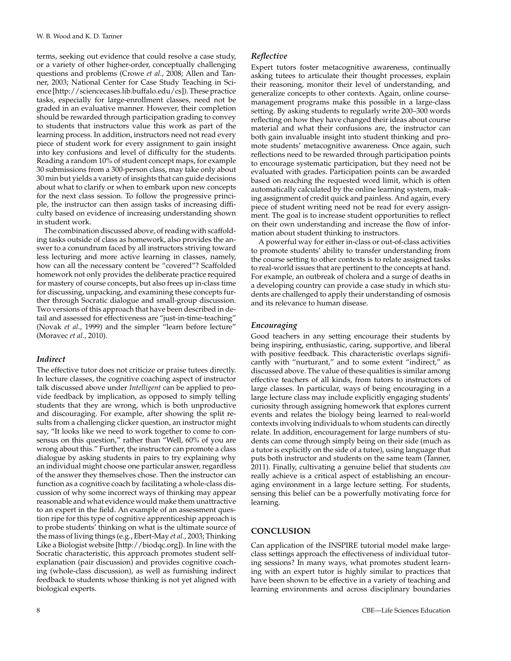terms, seeking out evidence that could resolve a case study, or a variety of other higher-order, conceptually challenging questions and problems (Crowe *et al*., 2008; Allen and Tanner, 2003; National Center for Case Study Teaching in Science [http://sciencecases.lib.buffalo.edu/cs]). These practice tasks, especially for large-enrollment classes, need not be graded in an evaluative manner. However, their completion should be rewarded through participation grading to convey to students that instructors value this work as part of the learning process. In addition, instructors need not read every piece of student work for every assignment to gain insight into key confusions and level of difficulty for the students. Reading a random 10% of student concept maps, for example 30 submissions from a 300-person class, may take only about 30 min but yields a variety of insights that can guide decisions about what to clarify or when to embark upon new concepts for the next class session. To follow the progressive principle, the instructor can then assign tasks of increasing difficulty based on evidence of increasing understanding shown in student work.

The combination discussed above, of reading with scaffolding tasks outside of class as homework, also provides the answer to a conundrum faced by all instructors striving toward less lecturing and more active learning in classes, namely, how can all the necessary content be "covered"? Scaffolded homework not only provides the deliberate practice required for mastery of course concepts, but also frees up in-class time for discussing, unpacking, and examining these concepts further through Socratic dialogue and small-group discussion. Two versions of this approach that have been described in detail and assessed for effectiveness are "just-in-time-teaching" (Novak *et al*., 1999) and the simpler "learn before lecture" (Moravec *et al*., 2010).

#### *Indirect*

The effective tutor does not criticize or praise tutees directly. In lecture classes, the cognitive coaching aspect of instructor talk discussed above under *Intelligent* can be applied to provide feedback by implication, as opposed to simply telling students that they are wrong, which is both unproductive and discouraging. For example, after showing the split results from a challenging clicker question, an instructor might say, "It looks like we need to work together to come to consensus on this question," rather than "Well, 60% of you are wrong about this." Further, the instructor can promote a class dialogue by asking students in pairs to try explaining why an individual might choose one particular answer, regardless of the answer they themselves chose. Then the instructor can function as a cognitive coach by facilitating a whole-class discussion of why some incorrect ways of thinking may appear reasonable and what evidence would make them unattractive to an expert in the field. An example of an assessment question ripe for this type of cognitive apprenticeship approach is to probe students' thinking on what is the ultimate source of the mass of living things (e.g., Ebert-May *et al.*, 2003; Thinking Like a Biologist website [http://biodqc.org]). In line with the Socratic characteristic, this approach promotes student selfexplanation (pair discussion) and provides cognitive coaching (whole-class discussion), as well as furnishing indirect feedback to students whose thinking is not yet aligned with biological experts.

#### *Reflective*

Expert tutors foster metacognitive awareness, continually asking tutees to articulate their thought processes, explain their reasoning, monitor their level of understanding, and generalize concepts to other contexts. Again, online coursemanagement programs make this possible in a large-class setting. By asking students to regularly write 200–300 words reflecting on how they have changed their ideas about course material and what their confusions are, the instructor can both gain invaluable insight into student thinking and promote students' metacognitive awareness. Once again, such reflections need to be rewarded through participation points to encourage systematic participation, but they need not be evaluated with grades. Participation points can be awarded based on reaching the requested word limit, which is often automatically calculated by the online learning system, making assignment of credit quick and painless. And again, every piece of student writing need not be read for every assignment. The goal is to increase student opportunities to reflect on their own understanding and increase the flow of information about student thinking to instructors.

A powerful way for either in-class or out-of-class activities to promote students' ability to transfer understanding from the course setting to other contexts is to relate assigned tasks to real-world issues that are pertinent to the concepts at hand. For example, an outbreak of cholera and a surge of deaths in a developing country can provide a case study in which students are challenged to apply their understanding of osmosis and its relevance to human disease.

#### *Encouraging*

Good teachers in any setting encourage their students by being inspiring, enthusiastic, caring, supportive, and liberal with positive feedback. This characteristic overlaps significantly with "nurturant," and to some extent "indirect," as discussed above. The value of these qualities is similar among effective teachers of all kinds, from tutors to instructors of large classes. In particular, ways of being encouraging in a large lecture class may include explicitly engaging students' curiosity through assigning homework that explores current events and relates the biology being learned to real-world contexts involving individuals to whom students can directly relate. In addition, encouragement for large numbers of students can come through simply being on their side (much as a tutor is explicitly on the side of a tutee), using language that puts both instructor and students on the same team (Tanner, 2011). Finally, cultivating a genuine belief that students *can* really achieve is a critical aspect of establishing an encouraging environment in a large lecture setting. For students, sensing this belief can be a powerfully motivating force for learning.

## **CONCLUSION**

Can application of the INSPIRE tutorial model make largeclass settings approach the effectiveness of individual tutoring sessions? In many ways, what promotes student learning with an expert tutor is highly similar to practices that have been shown to be effective in a variety of teaching and learning environments and across disciplinary boundaries